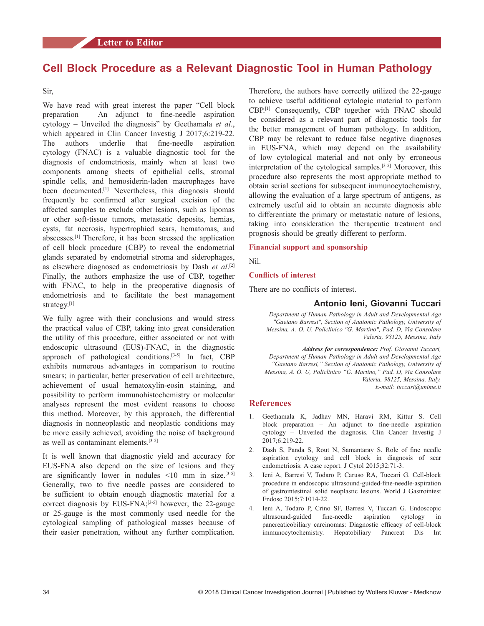# **Cell Block Procedure as a Relevant Diagnostic Tool in Human Pathology**

Sir,

We have read with great interest the paper "Cell block preparation – An adjunct to fine-needle aspiration cytology – Unveiled the diagnosis" by Geethamala *et al*., which appeared in Clin Cancer Investig J 2017;6:219-22. The authors underlie that fine-needle aspiration cytology (FNAC) is a valuable diagnostic tool for the diagnosis of endometriosis, mainly when at least two components among sheets of epithelial cells, stromal spindle cells, and hemosiderin-laden macrophages have been documented.<sup>[1]</sup> Nevertheless, this diagnosis should frequently be confirmed after surgical excision of the affected samples to exclude other lesions, such as lipomas or other soft-tissue tumors, metastatic deposits, hernias, cysts, fat necrosis, hypertrophied scars, hematomas, and abscesses.[1] Therefore, it has been stressed the application of cell block procedure (CBP) to reveal the endometrial glands separated by endometrial stroma and siderophages, as elsewhere diagnosed as endometriosis by Dash *et al*. [2] Finally, the authors emphasize the use of CBP, together with FNAC, to help in the preoperative diagnosis of endometriosis and to facilitate the best management strategy.<sup>[1]</sup>

We fully agree with their conclusions and would stress the practical value of CBP, taking into great consideration the utility of this procedure, either associated or not with endoscopic ultrasound (EUS)-FNAC, in the diagnostic approach of pathological conditions.<sup>[3-5]</sup> In fact, CBP exhibits numerous advantages in comparison to routine smears; in particular, better preservation of cell architecture, achievement of usual hematoxylin‑eosin staining, and possibility to perform immunohistochemistry or molecular analyses represent the most evident reasons to choose this method. Moreover, by this approach, the differential diagnosis in nonneoplastic and neoplastic conditions may be more easily achieved, avoiding the noise of background as well as contaminant elements.<sup>[3-5]</sup>

It is well known that diagnostic yield and accuracy for EUS‑FNA also depend on the size of lesions and they are significantly lower in nodules  $\leq 10$  mm in size.<sup>[3-5]</sup> Generally, two to five needle passes are considered to be sufficient to obtain enough diagnostic material for a correct diagnosis by EUS-FNA;<sup>[3-5]</sup> however, the 22-gauge or 25‑gauge is the most commonly used needle for the cytological sampling of pathological masses because of their easier penetration, without any further complication.

Therefore, the authors have correctly utilized the 22‑gauge to achieve useful additional cytologic material to perform CBP.[1] Consequently, CBP together with FNAC should be considered as a relevant part of diagnostic tools for the better management of human pathology. In addition, CBP may be relevant to reduce false negative diagnoses in EUS‑FNA, which may depend on the availability of low cytological material and not only by erroneous interpretation of the cytological samples.<sup>[3-5]</sup> Moreover, this procedure also represents the most appropriate method to obtain serial sections for subsequent immunocytochemistry, allowing the evaluation of a large spectrum of antigens, as extremely useful aid to obtain an accurate diagnosis able to differentiate the primary or metastatic nature of lesions, taking into consideration the therapeutic treatment and prognosis should be greatly different to perform.

## **Financial support and sponsorship**

Nil.

#### **Conflicts of interest**

There are no conflicts of interest.

## **Antonio Ieni, Giovanni Tuccari**

*Department of Human Pathology in Adult and Developmental Age "Gaetano Barresi", Section of Anatomic Pathology, University of Messina, A. O. U. Policlinico "G. Martino", Pad. D, Via Consolare Valeria, 98125, Messina, Italy*

*Address for correspondence: Prof. Giovanni Tuccari, Department of Human Pathology in Adult and Developmental Age "Gaetano Barresi," Section of Anatomic Pathology, University of Messina, A. O. U, Policlinico "G. Martino," Pad. D, Via Consolare Valeria, 98125, Messina, Italy. E‑mail: tuccari@unime.it*

## **References**

- 1. Geethamala K, Jadhav MN, Haravi RM, Kittur S. Cell block preparation – An adjunct to fine-needle aspiration cytology – Unveiled the diagnosis. Clin Cancer Investig J 2017;6:219‑22.
- 2. Dash S, Panda S, Rout N, Samantaray S. Role of fine needle aspiration cytology and cell block in diagnosis of scar endometriosis: A case report. J Cytol 2015;32:71-3.
- 3. Ieni A, Barresi V, Todaro P, Caruso RA, Tuccari G. Cell-block procedure in endoscopic ultrasound‑guided‑fine‑needle‑aspiration of gastrointestinal solid neoplastic lesions. World J Gastrointest Endosc 2015;7:1014‑22.
- 4. Ieni A, Todaro P, Crino SF, Barresi V, Tuccari G. Endoscopic ultrasound‑guided fine‑needle aspiration cytology in pancreaticobiliary carcinomas: Diagnostic efficacy of cell-block immunocytochemistry. Hepatobiliary Pancreat Dis Int